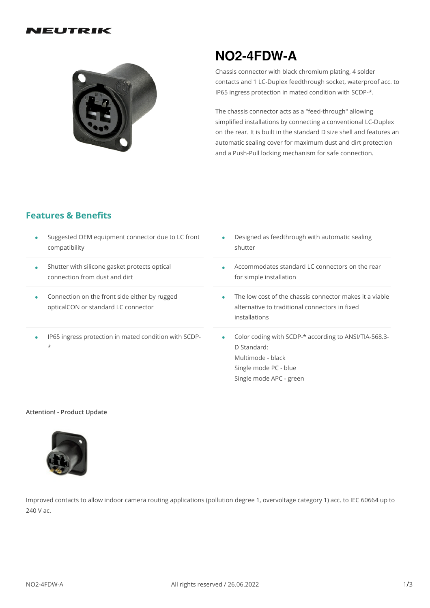#### VEUTRIK



# **NO2-4FDW-A**

Chassis connector with black chromium plating, 4 solder contacts and 1 LC-Duplex feedthrough socket, waterproof acc. to IP65 ingress protection in mated condition with SCDP-\*.

The chassis connector acts as a "feed-through" allowing simplified installations by connecting a conventional LC-Duplex on the rear. It is built in the standard D size shell and features an automatic sealing cover for maximum dust and dirt protection and a Push-Pull locking mechanism for safe connection.

### **Features & Benefits**

| Suggested OEM equipment connector due to LC front                                    | Designed as feedthrough with automatic sealing                                                                                                |
|--------------------------------------------------------------------------------------|-----------------------------------------------------------------------------------------------------------------------------------------------|
| compatibility                                                                        | shutter                                                                                                                                       |
| Shutter with silicone gasket protects optical                                        | Accommodates standard LC connectors on the rear                                                                                               |
| connection from dust and dirt                                                        | for simple installation                                                                                                                       |
| Connection on the front side either by rugged<br>opticalCON or standard LC connector | The low cost of the chassis connector makes it a viable<br>alternative to traditional connectors in fixed<br>installations                    |
| IP65 ingress protection in mated condition with SCDP-<br>$\star$                     | Color coding with SCDP-* according to ANSI/TIA-568.3-<br>D Standard:<br>Multimode - black<br>Single mode PC - blue<br>Single mode APC - green |

#### **Attention! - Product Update**



Improved contacts to allow indoor camera routing applications (pollution degree 1, overvoltage category 1) acc. to IEC 60664 up to 240 V ac.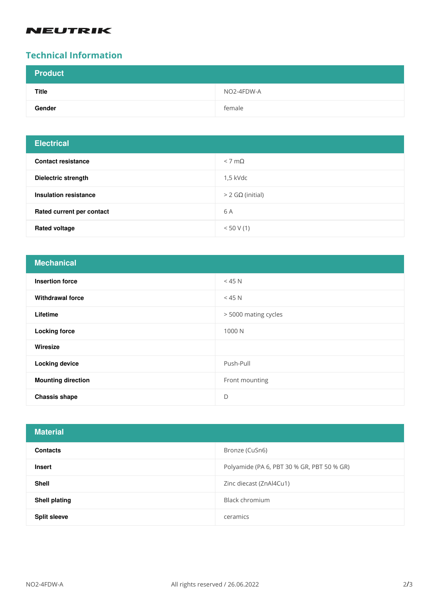# **NEUTRIK**

## **Technical Information**

| <b>Product</b> |            |
|----------------|------------|
| <b>Title</b>   | NO2-4FDW-A |
| Gender         | female     |

| <b>Electrical</b>         |                    |
|---------------------------|--------------------|
| <b>Contact resistance</b> | $< 7 \text{ mA}$   |
| Dielectric strength       | $1.5$ kVdc         |
| Insulation resistance     | $>$ 2 GΩ (initial) |
| Rated current per contact | 6 A                |
| <b>Rated voltage</b>      | < 50 V(1)          |

| <b>Mechanical</b>         |                      |
|---------------------------|----------------------|
| <b>Insertion force</b>    | $<$ 45 N             |
| <b>Withdrawal force</b>   | $<$ 45 N             |
| Lifetime                  | > 5000 mating cycles |
| <b>Locking force</b>      | 1000 N               |
| Wiresize                  |                      |
| <b>Locking device</b>     | Push-Pull            |
| <b>Mounting direction</b> | Front mounting       |
| <b>Chassis shape</b>      | D                    |

| <b>Material</b>      |                                            |
|----------------------|--------------------------------------------|
| <b>Contacts</b>      | Bronze (CuSn6)                             |
| <b>Insert</b>        | Polyamide (PA 6, PBT 30 % GR, PBT 50 % GR) |
| Shell                | Zinc diecast (ZnAl4Cu1)                    |
| <b>Shell plating</b> | Black chromium                             |
| <b>Split sleeve</b>  | ceramics                                   |